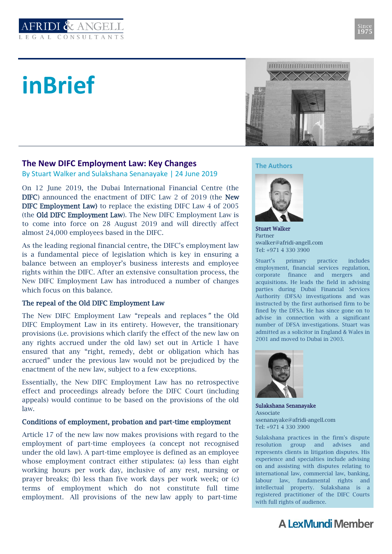

# **inBrief**



# **The New DIFC Employment Law: Key Changes**

By Stuart Walker and Sulakshana Senanayake | 24 June 2019

On 12 June 2019, the Dubai International Financial Centre (the DIFC) announced the enactment of DIFC Law 2 of 2019 (the New DIFC Employment Law) to replace the existing DIFC Law 4 of 2005 (the Old DIFC Employment Law). The New DIFC Employment Law is to come into force on 28 August 2019 and will directly affect almost 24,000 employees based in the DIFC.

As the leading regional financial centre, the DIFC's employment law is a fundamental piece of legislation which is key in ensuring a balance between an employer's business interests and employee rights within the DIFC. After an extensive consultation process, the New DIFC Employment Law has introduced a number of changes which focus on this balance.

# The repeal of the Old DIFC Employment Law

The New DIFC Employment Law "repeals and replaces" the Old DIFC Employment Law in its entirety. However, the transitionary provisions (i.e. provisions which clarify the effect of the new law on any rights accrued under the old law) set out in Article 1 have ensured that any "right, remedy, debt or obligation which has accrued" under the previous law would not be prejudiced by the enactment of the new law, subject to a few exceptions.

Essentially, the New DIFC Employment Law has no retrospective effect and proceedings already before the DIFC Court (including appeals) would continue to be based on the provisions of the old law.

# Conditions of employment, probation and part-time employment

Article 17 of the new law now makes provisions with regard to the employment of part-time employees (a concept not recognised under the old law). A part-time employee is defined as an employee whose employment contract either stipulates: (a) less than eight working hours per work day, inclusive of any rest, nursing or prayer breaks; (b) less than five work days per work week; or (c) terms of employment which do not constitute full time employment. All provisions of the new law apply to part-time

#### **The Authors**



Stuart Walker Partner swalker@afridi-angell.com Tel: +971 4 330 3900

Stuart's primary practice includes employment, financial services regulation, corporate finance and mergers and acquisitions. He leads the field in advising parties during Dubai Financial Services Authority (DFSA) investigations and was instructed by the first authorised firm to be fined by the DFSA. He has since gone on to advise in connection with a significant number of DFSA investigations. Stuart was admitted as a solicitor in England & Wales in 2001 and moved to Dubai in 2003.



Sulakshana Senanayake Associate ssenanayake@afridi-angell.com Tel: +971 4 330 3900

Sulakshana practices in the firm's dispute resolution group and advises and represents clients in litigation disputes. His experience and specialties include advising on and assisting with disputes relating to international law, commercial law, banking, labour law, fundamental rights and intellectual property. Sulakshana is a registered practitioner of the DIFC Courts with full rights of audience.

# **A LexMundi Member**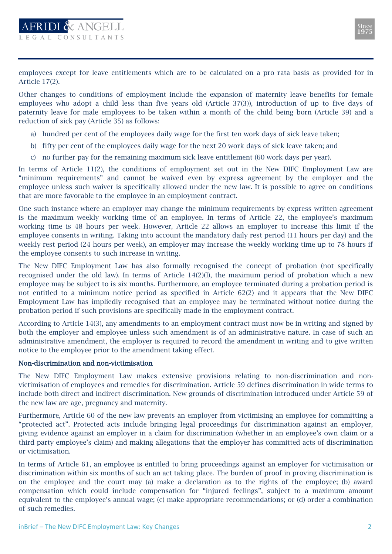employees except for leave entitlements which are to be calculated on a pro rata basis as provided for in Article 17(2).

**AFRIDI & ANGELL** 

Other changes to conditions of employment include the expansion of maternity leave benefits for female employees who adopt a child less than five years old (Article 37(3)), introduction of up to five days of paternity leave for male employees to be taken within a month of the child being born (Article 39) and a reduction of sick pay (Article 35) as follows:

- a) hundred per cent of the employees daily wage for the first ten work days of sick leave taken;
- b) fifty per cent of the employees daily wage for the next 20 work days of sick leave taken; and
- c) no further pay for the remaining maximum sick leave entitlement (60 work days per year).

In terms of Article 11(2), the conditions of employment set out in the New DIFC Employment Law are "minimum requirements" and cannot be waived even by express agreement by the employer and the employee unless such waiver is specifically allowed under the new law. It is possible to agree on conditions that are more favorable to the employee in an employment contract.

One such instance where an employer may change the minimum requirements by express written agreement is the maximum weekly working time of an employee. In terms of Article 22, the employee's maximum working time is 48 hours per week. However, Article 22 allows an employer to increase this limit if the employee consents in writing. Taking into account the mandatory daily rest period (11 hours per day) and the weekly rest period (24 hours per week), an employer may increase the weekly working time up to 78 hours if the employee consents to such increase in writing.

The New DIFC Employment Law has also formally recognised the concept of probation (not specifically recognised under the old law). In terms of Article 14(2)(l), the maximum period of probation which a new employee may be subject to is six months. Furthermore, an employee terminated during a probation period is not entitled to a minimum notice period as specified in Article 62(2) and it appears that the New DIFC Employment Law has impliedly recognised that an employee may be terminated without notice during the probation period if such provisions are specifically made in the employment contract.

According to Article 14(3), any amendments to an employment contract must now be in writing and signed by both the employer and employee unless such amendment is of an administrative nature. In case of such an administrative amendment, the employer is required to record the amendment in writing and to give written notice to the employee prior to the amendment taking effect.

#### Non-discrimination and non-victimisation

The New DIFC Employment Law makes extensive provisions relating to non-discrimination and nonvictimisation of employees and remedies for discrimination. Article 59 defines discrimination in wide terms to include both direct and indirect discrimination. New grounds of discrimination introduced under Article 59 of the new law are age, pregnancy and maternity.

Furthermore, Article 60 of the new law prevents an employer from victimising an employee for committing a "protected act". Protected acts include bringing legal proceedings for discrimination against an employer, giving evidence against an employer in a claim for discrimination (whether in an employee's own claim or a third party employee's claim) and making allegations that the employer has committed acts of discrimination or victimisation.

In terms of Article 61, an employee is entitled to bring proceedings against an employer for victimisation or discrimination within six months of such an act taking place. The burden of proof in proving discrimination is on the employee and the court may (a) make a declaration as to the rights of the employee; (b) award compensation which could include compensation for "injured feelings", subject to a maximum amount equivalent to the employee's annual wage; (c) make appropriate recommendations; or (d) order a combination of such remedies.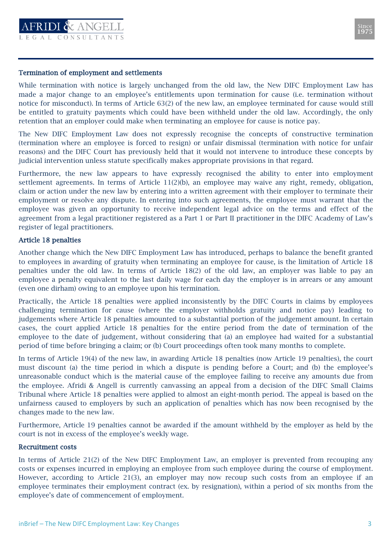



#### Termination of employment and settlements

While termination with notice is largely unchanged from the old law, the New DIFC Employment Law has made a major change to an employee's entitlements upon termination for cause (i.e. termination without notice for misconduct). In terms of Article 63(2) of the new law, an employee terminated for cause would still be entitled to gratuity payments which could have been withheld under the old law. Accordingly, the only retention that an employer could make when terminating an employee for cause is notice pay.

The New DIFC Employment Law does not expressly recognise the concepts of constructive termination (termination where an employee is forced to resign) or unfair dismissal (termination with notice for unfair reasons) and the DIFC Court has previously held that it would not intervene to introduce these concepts by judicial intervention unless statute specifically makes appropriate provisions in that regard.

Furthermore, the new law appears to have expressly recognised the ability to enter into employment settlement agreements. In terms of Article 11(2)(b), an employee may waive any right, remedy, obligation, claim or action under the new law by entering into a written agreement with their employer to terminate their employment or resolve any dispute. In entering into such agreements, the employee must warrant that the employee was given an opportunity to receive independent legal advice on the terms and effect of the agreement from a legal practitioner registered as a Part 1 or Part II practitioner in the DIFC Academy of Law's register of legal practitioners.

#### Article 18 penalties

Another change which the New DIFC Employment Law has introduced, perhaps to balance the benefit granted to employees in awarding of gratuity when terminating an employee for cause, is the limitation of Article 18 penalties under the old law. In terms of Article 18(2) of the old law, an employer was liable to pay an employee a penalty equivalent to the last daily wage for each day the employer is in arrears or any amount (even one dirham) owing to an employee upon his termination.

Practically, the Article 18 penalties were applied inconsistently by the DIFC Courts in claims by employees challenging termination for cause (where the employer withholds gratuity and notice pay) leading to judgements where Article 18 penalties amounted to a substantial portion of the judgement amount. In certain cases, the court applied Article 18 penalties for the entire period from the date of termination of the employee to the date of judgement, without considering that (a) an employee had waited for a substantial period of time before bringing a claim; or (b) Court proceedings often took many months to complete.

In terms of Article 19(4) of the new law, in awarding Article 18 penalties (now Article 19 penalties), the court must discount (a) the time period in which a dispute is pending before a Court; and (b) the employee's unreasonable conduct which is the material cause of the employee failing to receive any amounts due from the employee. Afridi & Angell is currently canvassing an appeal from a decision of the DIFC Small Claims Tribunal where Article 18 penalties were applied to almost an eight-month period. The appeal is based on the unfairness caused to employers by such an application of penalties which has now been recognised by the changes made to the new law.

Furthermore, Article 19 penalties cannot be awarded if the amount withheld by the employer as held by the court is not in excess of the employee's weekly wage.

#### Recruitment costs

In terms of Article 21(2) of the New DIFC Employment Law, an employer is prevented from recouping any costs or expenses incurred in employing an employee from such employee during the course of employment. However, according to Article 21(3), an employer may now recoup such costs from an employee if an employee terminates their employment contract (ex. by resignation), within a period of six months from the employee's date of commencement of employment.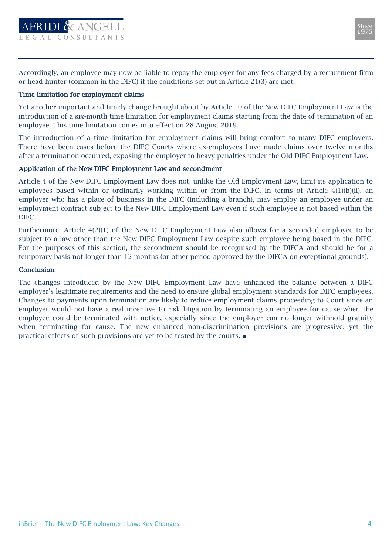



Accordingly, an employee may now be liable to repay the employer for any fees charged by a recruitment firm or head-hunter (common in the DIFC) if the conditions set out in Article 21(3) are met.

## Time limitation for employment claims

Yet another important and timely change brought about by Article 10 of the New DIFC Employment Law is the introduction of a six-month time limitation for employment claims starting from the date of termination of an employee. This time limitation comes into effect on 28 August 2019.

The introduction of a time limitation for employment claims will bring comfort to many DIFC employers. There have been cases before the DIFC Courts where ex-employees have made claims over twelve months after a termination occurred, exposing the employer to heavy penalties under the Old DIFC Employment Law.

## Application of the New DIFC Employment Law and secondment

Article 4 of the New DIFC Employment Law does not, unlike the Old Employment Law, limit its application to employees based within or ordinarily working within or from the DIFC. In terms of Article 4(1)(b)(ii), an employer who has a place of business in the DIFC (including a branch), may employ an employee under an employment contract subject to the New DIFC Employment Law even if such employee is not based within the DIFC.

Furthermore, Article 4(2)(1) of the New DIFC Employment Law also allows for a seconded employee to be subject to a law other than the New DIFC Employment Law despite such employee being based in the DIFC. For the purposes of this section, the secondment should be recognised by the DIFCA and should be for a temporary basis not longer than 12 months (or other period approved by the DIFCA on exceptional grounds).

#### **Conclusion**

The changes introduced by the New DIFC Employment Law have enhanced the balance between a DIFC employer's legitimate requirements and the need to ensure global employment standards for DIFC employees. Changes to payments upon termination are likely to reduce employment claims proceeding to Court since an employer would not have a real incentive to risk litigation by terminating an employee for cause when the employee could be terminated with notice, especially since the employer can no longer withhold gratuity when terminating for cause. The new enhanced non-discrimination provisions are progressive, yet the practical effects of such provisions are yet to be tested by the courts. ■